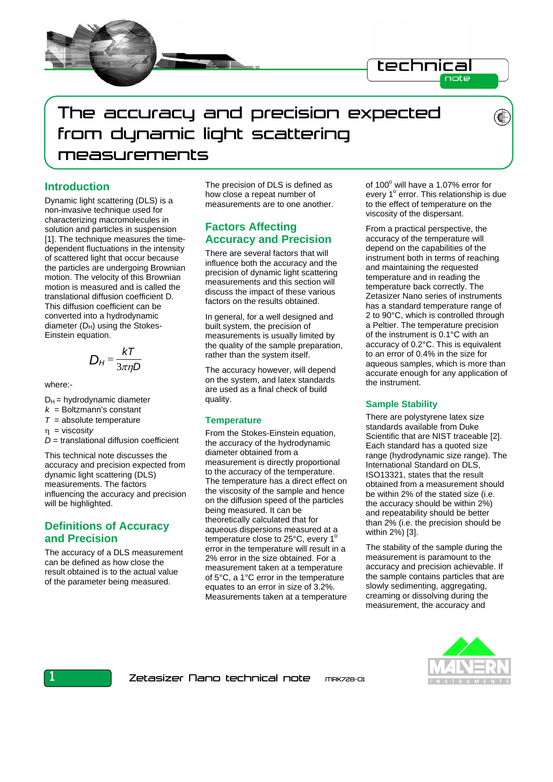



# **Introduction**

Dynamic light scattering (DLS) is a non-invasive technique used for characterizing macromolecules in solution and particles in suspension [1]. The technique measures the timedependent fluctuations in the intensity of scattered light that occur because the particles are undergoing Brownian motion. The velocity of this Brownian motion is measured and is called the translational diffusion coefficient D. This diffusion coefficient can be converted into a hydrodynamic diameter  $(D_H)$  using the Stokes-Einstein equation.

$$
D_H = \frac{kT}{3\pi\eta D}
$$

where:-

- $D_H$  = hydrodynamic diameter
- $k =$  Boltzmann's constant
- $T =$ absolute temperature

η = viscosit*y* 

*D* = translational diffusion coefficient

This technical note discusses the accuracy and precision expected from dynamic light scattering (DLS) measurements. The factors influencing the accuracy and precision will be highlighted.

## **Definitions of Accuracy and Precision**

The accuracy of a DLS measurement can be defined as how close the result obtained is to the actual value of the parameter being measured.

The precision of DLS is defined as how close a repeat number of measurements are to one another.

## **Factors Affecting Accuracy and Precision**

There are several factors that will influence both the accuracy and the precision of dynamic light scattering measurements and this section will discuss the impact of these various factors on the results obtained.

In general, for a well designed and built system, the precision of measurements is usually limited by the quality of the sample preparation, rather than the system itself.

The accuracy however, will depend on the system, and latex standards are used as a final check of build quality.

#### **Temperature**

From the Stokes-Einstein equation, the accuracy of the hydrodynamic diameter obtained from a measurement is directly proportional to the accuracy of the temperature. The temperature has a direct effect on the viscosity of the sample and hence on the diffusion speed of the particles being measured. It can be theoretically calculated that for aqueous dispersions measured at a temperature close to  $25^{\circ}$ C, every 1<sup>o</sup> error in the temperature will result in a 2% error in the size obtained. For a measurement taken at a temperature of 5°C, a 1°C error in the temperature equates to an error in size of 3.2%. Measurements taken at a temperature

of 100° will have a 1.07% error for every 1° error. This relationship is due to the effect of temperature on the viscosity of the dispersant.

From a practical perspective, the accuracy of the temperature will depend on the capabilities of the instrument both in terms of reaching and maintaining the requested temperature and in reading the temperature back correctly. The Zetasizer Nano series of instruments has a standard temperature range of 2 to 90°C, which is controlled through a Peltier. The temperature precision of the instrument is 0.1°C with an accuracy of 0.2°C. This is equivalent to an error of 0.4% in the size for aqueous samples, which is more than accurate enough for any application of the instrument.

### **Sample Stability**

There are polystyrene latex size standards available from Duke Scientific that are NIST traceable [2]. Each standard has a quoted size range (hydrodynamic size range). The International Standard on DLS, ISO13321, states that the result obtained from a measurement should be within 2% of the stated size (i.e. the accuracy should be within 2%) and repeatability should be better than 2% (i.e. the precision should be within 2%) [3].

The stability of the sample during the measurement is paramount to the accuracy and precision achievable. If the sample contains particles that are slowly sedimenting, aggregating, creaming or dissolving during the measurement, the accuracy and